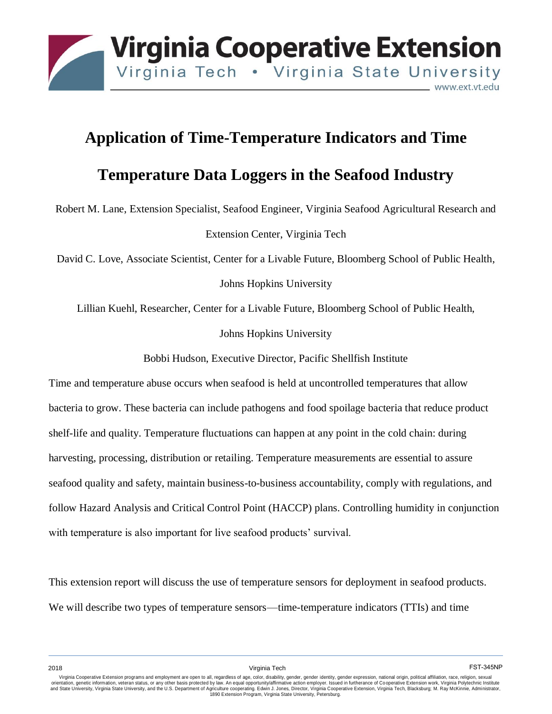

# **Application of Time-Temperature Indicators and Time**

# **Temperature Data Loggers in the Seafood Industry**

Robert M. Lane, Extension Specialist, Seafood Engineer, Virginia Seafood Agricultural Research and Extension Center, Virginia Tech

David C. Love, Associate Scientist, Center for a Livable Future, Bloomberg School of Public Health, Johns Hopkins University

Lillian Kuehl, Researcher, Center for a Livable Future, Bloomberg School of Public Health,

Johns Hopkins University

Bobbi Hudson, Executive Director, Pacific Shellfish Institute

Time and temperature abuse occurs when seafood is held at uncontrolled temperatures that allow bacteria to grow. These bacteria can include pathogens and food spoilage bacteria that reduce product shelf-life and quality. Temperature fluctuations can happen at any point in the cold chain: during harvesting, processing, distribution or retailing. Temperature measurements are essential to assure seafood quality and safety, maintain business-to-business accountability, comply with regulations, and follow Hazard Analysis and Critical Control Point (HACCP) plans. Controlling humidity in conjunction with temperature is also important for live seafood products' survival.

This extension report will discuss the use of temperature sensors for deployment in seafood products. We will describe two types of temperature sensors—time-temperature indicators (TTIs) and time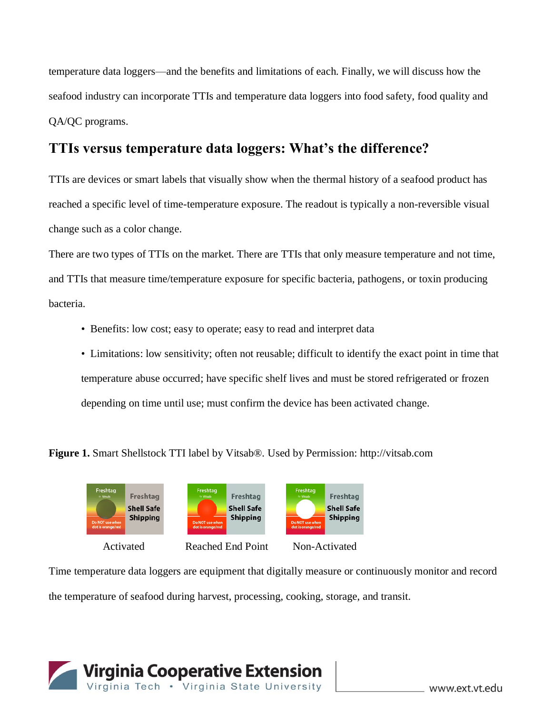temperature data loggers—and the benefits and limitations of each. Finally, we will discuss how the seafood industry can incorporate TTIs and temperature data loggers into food safety, food quality and QA/QC programs.

## **TTIs versus temperature data loggers: What's the difference?**

TTIs are devices or smart labels that visually show when the thermal history of a seafood product has reached a specific level of time-temperature exposure. The readout is typically a non-reversible visual change such as a color change.

There are two types of TTIs on the market. There are TTIs that only measure temperature and not time, and TTIs that measure time/temperature exposure for specific bacteria, pathogens, or toxin producing bacteria.

- Benefits: low cost; easy to operate; easy to read and interpret data
- Limitations: low sensitivity; often not reusable; difficult to identify the exact point in time that temperature abuse occurred; have specific shelf lives and must be stored refrigerated or frozen depending on time until use; must confirm the device has been activated change.

**Figure 1.** Smart Shellstock TTI label by Vitsab®. Used by Permission: http://vitsab.com



Time temperature data loggers are equipment that digitally measure or continuously monitor and record the temperature of seafood during harvest, processing, cooking, storage, and transit.

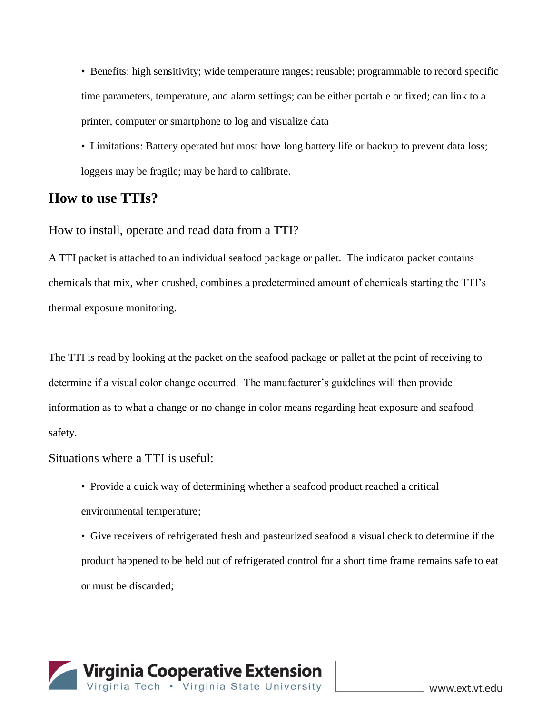• Benefits: high sensitivity; wide temperature ranges; reusable; programmable to record specific time parameters, temperature, and alarm settings; can be either portable or fixed; can link to a printer, computer or smartphone to log and visualize data

• Limitations: Battery operated but most have long battery life or backup to prevent data loss; loggers may be fragile; may be hard to calibrate.

#### **How to use TTIs?**

How to install, operate and read data from a TTI?

A TTI packet is attached to an individual seafood package or pallet. The indicator packet contains chemicals that mix, when crushed, combines a predetermined amount of chemicals starting the TTI's thermal exposure monitoring.

The TTI is read by looking at the packet on the seafood package or pallet at the point of receiving to determine if a visual color change occurred. The manufacturer's guidelines will then provide information as to what a change or no change in color means regarding heat exposure and seafood safety.

#### Situations where a TTI is useful:

• Provide a quick way of determining whether a seafood product reached a critical environmental temperature;

• Give receivers of refrigerated fresh and pasteurized seafood a visual check to determine if the product happened to be held out of refrigerated control for a short time frame remains safe to eat or must be discarded;

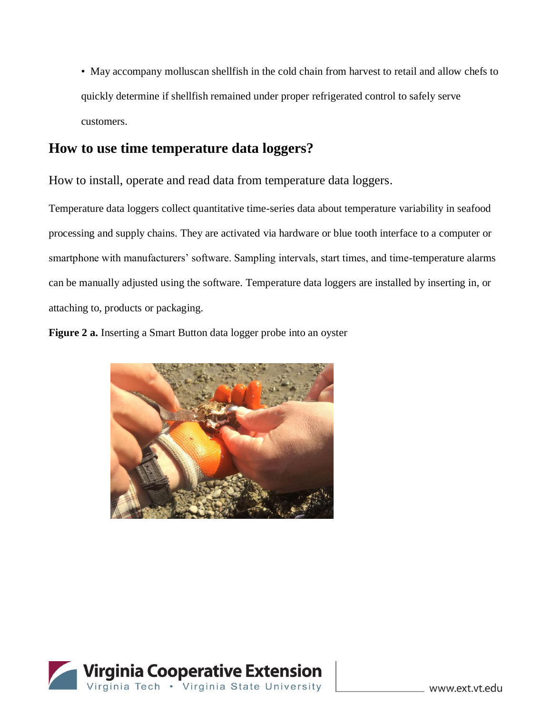• May accompany molluscan shellfish in the cold chain from harvest to retail and allow chefs to quickly determine if shellfish remained under proper refrigerated control to safely serve customers.

## **How to use time temperature data loggers?**

How to install, operate and read data from temperature data loggers.

Temperature data loggers collect quantitative time-series data about temperature variability in seafood processing and supply chains. They are activated via hardware or blue tooth interface to a computer or smartphone with manufacturers' software. Sampling intervals, start times, and time-temperature alarms can be manually adjusted using the software. Temperature data loggers are installed by inserting in, or attaching to, products or packaging.

**Figure 2 a.** Inserting a Smart Button data logger probe into an oyster



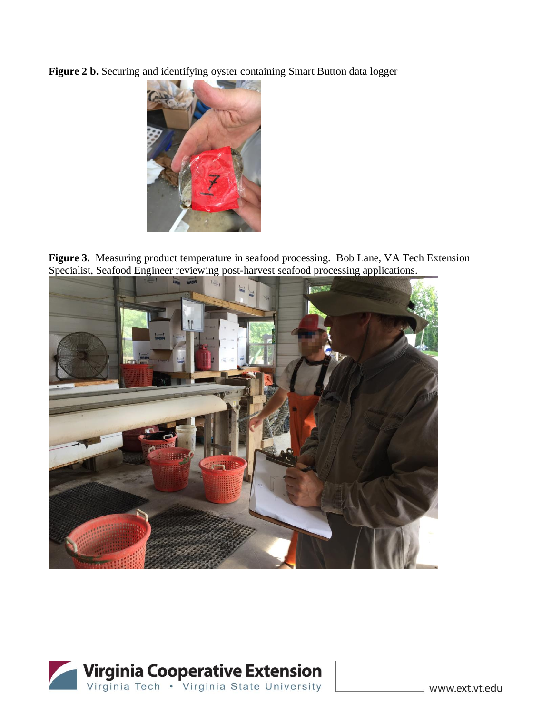**Figure 2 b.** Securing and identifying oyster containing Smart Button data logger



**Figure 3.** Measuring product temperature in seafood processing. Bob Lane, VA Tech Extension Specialist, Seafood Engineer reviewing post-harvest seafood processing applications.



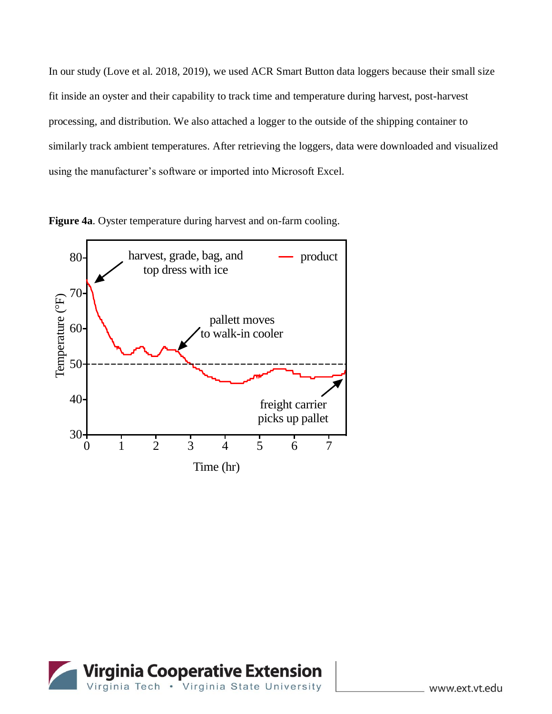In our study (Love et al. 2018, 2019), we used ACR Smart Button data loggers because their small size fit inside an oyster and their capability to track time and temperature during harvest, post-harvest processing, and distribution. We also attached a logger to the outside of the shipping container to similarly track ambient temperatures. After retrieving the loggers, data were downloaded and visualized using the manufacturer's software or imported into Microsoft Excel.





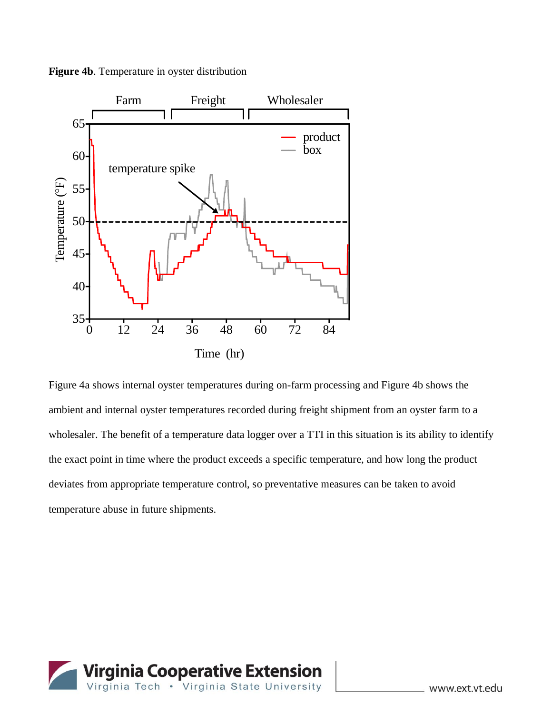

**Figure 4b**. Temperature in oyster distribution

Figure 4a shows internal oyster temperatures during on-farm processing and Figure 4b shows the ambient and internal oyster temperatures recorded during freight shipment from an oyster farm to a wholesaler. The benefit of a temperature data logger over a TTI in this situation is its ability to identify the exact point in time where the product exceeds a specific temperature, and how long the product deviates from appropriate temperature control, so preventative measures can be taken to avoid temperature abuse in future shipments.

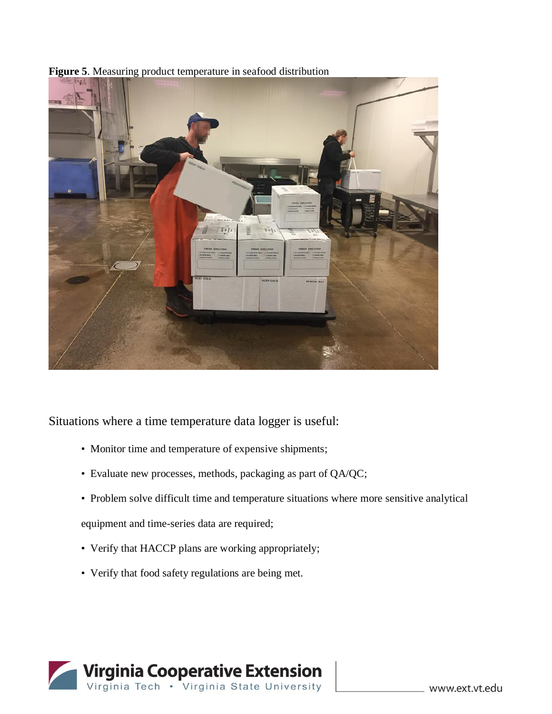

**Figure 5**. Measuring product temperature in seafood distribution

Situations where a time temperature data logger is useful:

- Monitor time and temperature of expensive shipments;
- Evaluate new processes, methods, packaging as part of QA/QC;
- Problem solve difficult time and temperature situations where more sensitive analytical

equipment and time-series data are required;

- Verify that HACCP plans are working appropriately;
- Verify that food safety regulations are being met.

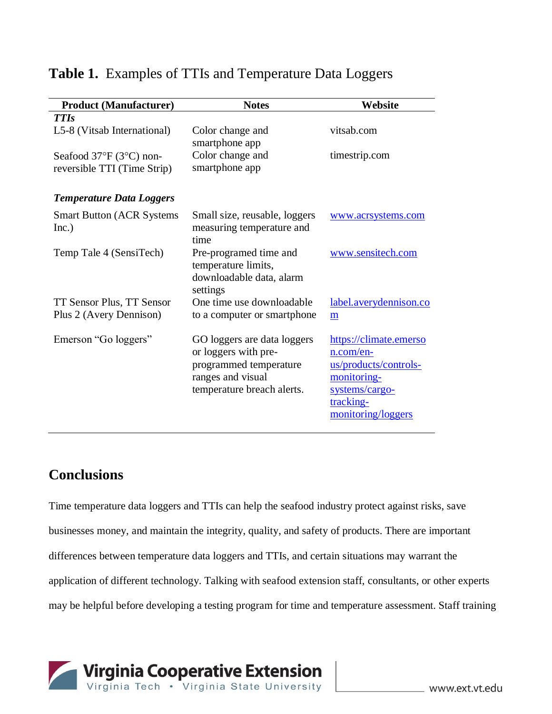| <b>Product (Manufacturer)</b>              | <b>Notes</b>                                                       | Website                   |
|--------------------------------------------|--------------------------------------------------------------------|---------------------------|
| <b>TTIs</b>                                |                                                                    |                           |
| L5-8 (Vitsab International)                | Color change and                                                   | vitsab.com                |
|                                            | smartphone app                                                     |                           |
| Seafood 37°F (3°C) non-                    | Color change and                                                   | timestrip.com             |
| reversible TTI (Time Strip)                | smartphone app                                                     |                           |
|                                            |                                                                    |                           |
| <b>Temperature Data Loggers</b>            |                                                                    |                           |
| <b>Smart Button (ACR Systems)</b><br>Inc.) | Small size, reusable, loggers<br>measuring temperature and<br>time | www.acrsystems.com        |
|                                            |                                                                    |                           |
| Temp Tale 4 (SensiTech)                    | Pre-programed time and<br>temperature limits,                      | www.sensitech.com         |
|                                            | downloadable data, alarm<br>settings                               |                           |
| TT Sensor Plus, TT Sensor                  | One time use downloadable                                          | label.averydennison.co    |
| Plus 2 (Avery Dennison)                    | to a computer or smartphone                                        | m                         |
|                                            |                                                                    |                           |
| Emerson "Go loggers"                       | GO loggers are data loggers                                        | https://climate.emerso    |
|                                            | or loggers with pre-                                               | $n$ .com/en-              |
|                                            | programmed temperature                                             | us/products/controls-     |
|                                            | ranges and visual                                                  | monitoring-               |
|                                            | temperature breach alerts.                                         | systems/cargo-            |
|                                            |                                                                    | tracking-                 |
|                                            |                                                                    | <u>monitoring/loggers</u> |

#### **Table 1.** Examples of TTIs and Temperature Data Loggers

### **Conclusions**

Time temperature data loggers and TTIs can help the seafood industry protect against risks, save businesses money, and maintain the integrity, quality, and safety of products. There are important differences between temperature data loggers and TTIs, and certain situations may warrant the application of different technology. Talking with seafood extension staff, consultants, or other experts may be helpful before developing a testing program for time and temperature assessment. Staff training

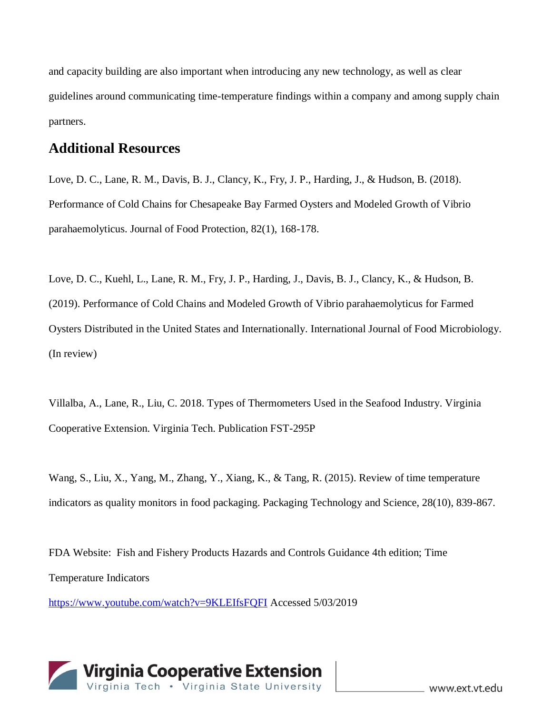and capacity building are also important when introducing any new technology, as well as clear guidelines around communicating time-temperature findings within a company and among supply chain partners.

#### **Additional Resources**

Love, D. C., Lane, R. M., Davis, B. J., Clancy, K., Fry, J. P., Harding, J., & Hudson, B. (2018). Performance of Cold Chains for Chesapeake Bay Farmed Oysters and Modeled Growth of Vibrio parahaemolyticus. Journal of Food Protection, 82(1), 168-178.

Love, D. C., Kuehl, L., Lane, R. M., Fry, J. P., Harding, J., Davis, B. J., Clancy, K., & Hudson, B. (2019). Performance of Cold Chains and Modeled Growth of Vibrio parahaemolyticus for Farmed Oysters Distributed in the United States and Internationally. International Journal of Food Microbiology. (In review)

Villalba, A., Lane, R., Liu, C. 2018. Types of Thermometers Used in the Seafood Industry. Virginia Cooperative Extension. Virginia Tech. Publication FST-295P

Wang, S., Liu, X., Yang, M., Zhang, Y., Xiang, K., & Tang, R. (2015). Review of time temperature indicators as quality monitors in food packaging. Packaging Technology and Science, 28(10), 839-867.

FDA Website: Fish and Fishery Products Hazards and Controls Guidance 4th edition; Time Temperature Indicators

<https://www.youtube.com/watch?v=9KLEIfsFQFI> Accessed 5/03/2019